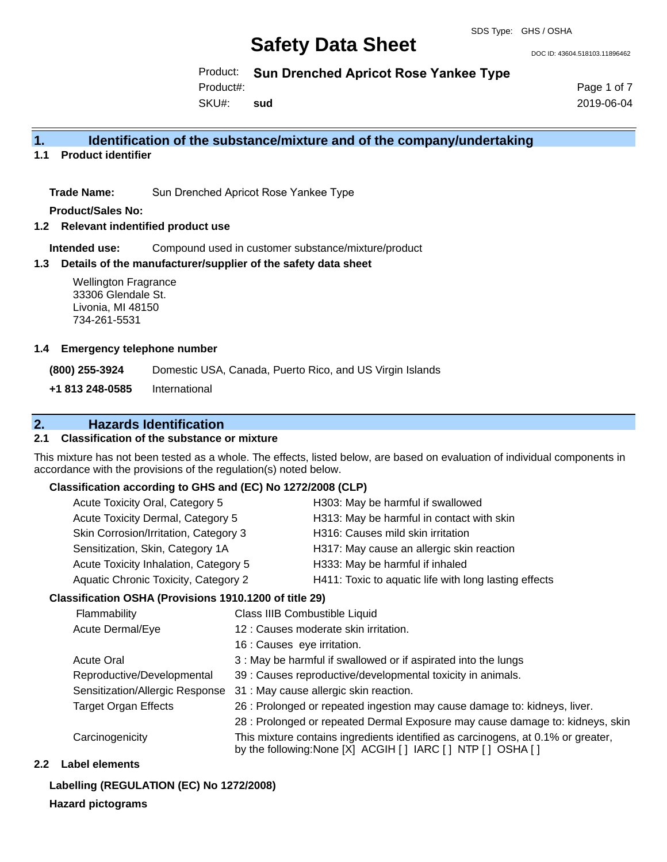DOC ID: 43604.518103.11896462

Product: **Sun Drenched Apricot Rose Yankee Type** 

SKU#: Product#: **sud** Page 1 of 7 2019-06-04

## **1. Identification of the substance/mixture and of the company/undertaking**

**1.1 Product identifier**

**Trade Name:** Sun Drenched Apricot Rose Yankee Type

**Product/Sales No:**

**1.2 Relevant indentified product use**

**Intended use:** Compound used in customer substance/mixture/product

### **1.3 Details of the manufacturer/supplier of the safety data sheet**

Wellington Fragrance 33306 Glendale St. Livonia, MI 48150 734-261-5531

#### **1.4 Emergency telephone number**

**(800) 255-3924** Domestic USA, Canada, Puerto Rico, and US Virgin Islands

**+1 813 248-0585** International

## **2. Hazards Identification**

## **2.1 Classification of the substance or mixture**

This mixture has not been tested as a whole. The effects, listed below, are based on evaluation of individual components in accordance with the provisions of the regulation(s) noted below.

## **Classification according to GHS and (EC) No 1272/2008 (CLP)**

| Acute Toxicity Oral, Category 5       | H303: May be harmful if swallowed                     |
|---------------------------------------|-------------------------------------------------------|
| Acute Toxicity Dermal, Category 5     | H313: May be harmful in contact with skin             |
| Skin Corrosion/Irritation, Category 3 | H316: Causes mild skin irritation                     |
| Sensitization, Skin, Category 1A      | H317: May cause an allergic skin reaction             |
| Acute Toxicity Inhalation, Category 5 | H333: May be harmful if inhaled                       |
| Aquatic Chronic Toxicity, Category 2  | H411: Toxic to aquatic life with long lasting effects |
|                                       |                                                       |

### **Classification OSHA (Provisions 1910.1200 of title 29)**

| <b>Flammability</b>             | Class IIIB Combustible Liquid                                                                                                                  |
|---------------------------------|------------------------------------------------------------------------------------------------------------------------------------------------|
| Acute Dermal/Eye                | 12 : Causes moderate skin irritation.                                                                                                          |
|                                 | 16 : Causes eye irritation.                                                                                                                    |
| <b>Acute Oral</b>               | 3 : May be harmful if swallowed or if aspirated into the lungs                                                                                 |
| Reproductive/Developmental      | 39 : Causes reproductive/developmental toxicity in animals.                                                                                    |
| Sensitization/Allergic Response | 31 : May cause allergic skin reaction.                                                                                                         |
| <b>Target Organ Effects</b>     | 26 : Prolonged or repeated ingestion may cause damage to: kidneys, liver.                                                                      |
|                                 | 28 : Prolonged or repeated Dermal Exposure may cause damage to: kidneys, skin                                                                  |
| Carcinogenicity                 | This mixture contains ingredients identified as carcinogens, at 0.1% or greater,<br>by the following: None [X] ACGIH [] IARC [] NTP [] OSHA [] |

### **2.2 Label elements**

## **Labelling (REGULATION (EC) No 1272/2008)**

### **Hazard pictograms**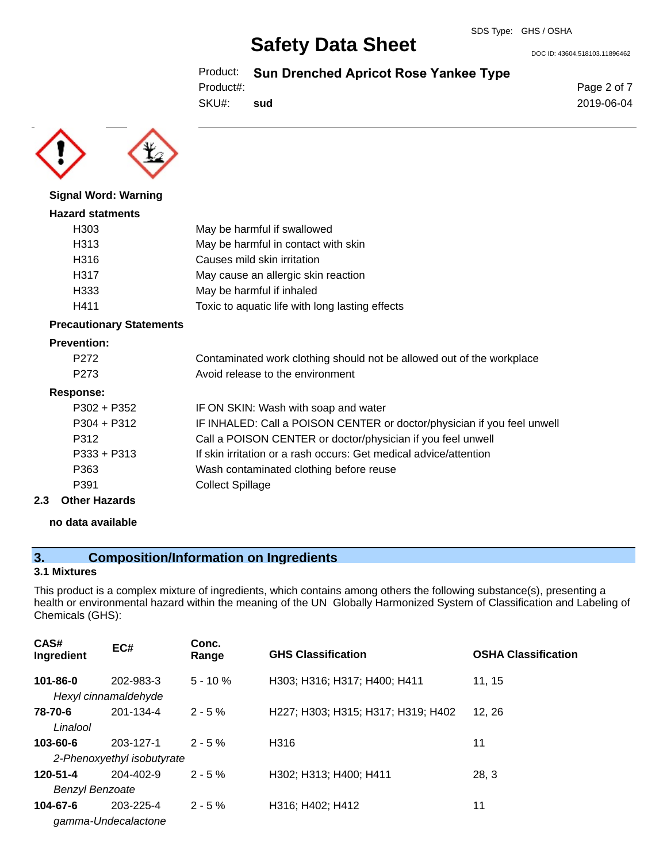DOC ID: 43604.518103.11896462

Product: **Sun Drenched Apricot Rose Yankee Type** 

Product#:

SKU#: **sud**

**Signal Word: Warning Hazard statments**



# H303 May be harmful if swallowed H313 May be harmful in contact with skin H316 Causes mild skin irritation H317 May cause an allergic skin reaction H333 May be harmful if inhaled H411 Toxic to aquatic life with long lasting effects

### **Precautionary Statements**

#### **Prevention:**

| P <sub>272</sub> | Contaminated work clothing should not be allowed out of the workplace   |  |
|------------------|-------------------------------------------------------------------------|--|
| P <sub>273</sub> | Avoid release to the environment                                        |  |
| Response:        |                                                                         |  |
| $P302 + P352$    | IF ON SKIN: Wash with soap and water                                    |  |
| $P304 + P312$    | IF INHALED: Call a POISON CENTER or doctor/physician if you feel unwell |  |
| P312             | Call a POISON CENTER or doctor/physician if you feel unwell             |  |
| $P333 + P313$    | If skin irritation or a rash occurs: Get medical advice/attention       |  |
| P363             | Wash contaminated clothing before reuse                                 |  |
| P391             | <b>Collect Spillage</b>                                                 |  |
|                  |                                                                         |  |

## **2.3 Other Hazards**

## **no data available**

## **3. Composition/Information on Ingredients**

#### **3.1 Mixtures**

This product is a complex mixture of ingredients, which contains among others the following substance(s), presenting a health or environmental hazard within the meaning of the UN Globally Harmonized System of Classification and Labeling of Chemicals (GHS):

| CAS#<br>Ingredient                 | EC#                                     | Conc.<br>Range | <b>GHS Classification</b>          | <b>OSHA Classification</b> |
|------------------------------------|-----------------------------------------|----------------|------------------------------------|----------------------------|
| 101-86-0                           | 202-983-3<br>Hexyl cinnamaldehyde       | $5 - 10%$      | H303; H316; H317; H400; H411       | 11, 15                     |
| 78-70-6<br>Linalool                | 201-134-4                               | $2 - 5%$       | H227; H303; H315; H317; H319; H402 | 12, 26                     |
| 103-60-6                           | 203-127-1<br>2-Phenoxyethyl isobutyrate | $2 - 5%$       | H316                               | 11                         |
| 120-51-4<br><b>Benzyl Benzoate</b> | $204 - 402 - 9$                         | $2 - 5\%$      | H302; H313; H400; H411             | 28, 3                      |
| 104-67-6                           | 203-225-4<br>gamma-Undecalactone        | $2 - 5%$       | H316; H402; H412                   | 11                         |

Page 2 of 7 2019-06-04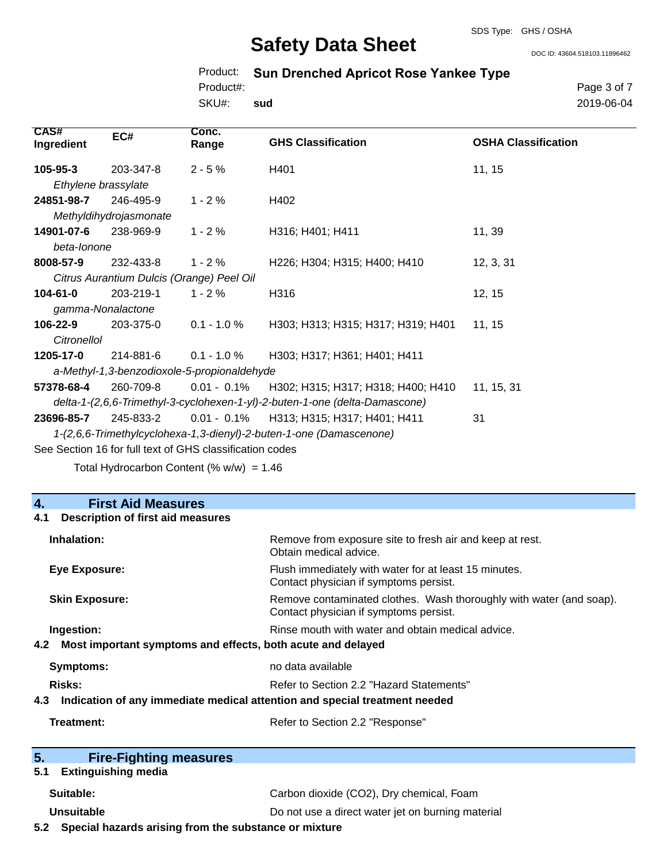DOC ID: 43604.518103.11896462

## Product: **Sun Drenched Apricot Rose Yankee Type**

SKU#: Product#: **sud** Page 3 of 7 2019-06-04

| CAS#<br>Ingredient                                                          | EC#                                       | Conc.<br>Range | <b>GHS Classification</b>                                           | <b>OSHA Classification</b> |
|-----------------------------------------------------------------------------|-------------------------------------------|----------------|---------------------------------------------------------------------|----------------------------|
| $105 - 95 - 3$                                                              | 203-347-8                                 | $2 - 5%$       | H401                                                                | 11, 15                     |
| Ethylene brassylate                                                         |                                           |                |                                                                     |                            |
| 24851-98-7                                                                  | 246-495-9                                 | $1 - 2%$       | H402                                                                |                            |
|                                                                             | Methyldihydrojasmonate                    |                |                                                                     |                            |
| 14901-07-6                                                                  | 238-969-9                                 | $1 - 2%$       | H316; H401; H411                                                    | 11, 39                     |
| beta-lonone                                                                 |                                           |                |                                                                     |                            |
| 8008-57-9                                                                   | 232-433-8                                 | $1 - 2%$       | H226; H304; H315; H400; H410                                        | 12, 3, 31                  |
|                                                                             | Citrus Aurantium Dulcis (Orange) Peel Oil |                |                                                                     |                            |
| $104 - 61 - 0$                                                              | 203-219-1                                 | $1 - 2%$       | H316                                                                | 12, 15                     |
| gamma-Nonalactone                                                           |                                           |                |                                                                     |                            |
| 106-22-9                                                                    | 203-375-0                                 | $0.1 - 1.0 %$  | H303; H313; H315; H317; H319; H401                                  | 11, 15                     |
| Citronellol                                                                 |                                           |                |                                                                     |                            |
| 1205-17-0                                                                   | 214-881-6                                 | $0.1 - 1.0 \%$ | H303; H317; H361; H401; H411                                        |                            |
| a-Methyl-1,3-benzodioxole-5-propionaldehyde                                 |                                           |                |                                                                     |                            |
| 57378-68-4                                                                  | 260-709-8                                 | $0.01 - 0.1\%$ | H302; H315; H317; H318; H400; H410                                  | 11, 15, 31                 |
| delta-1-(2,6,6-Trimethyl-3-cyclohexen-1-yl)-2-buten-1-one (delta-Damascone) |                                           |                |                                                                     |                            |
| 23696-85-7                                                                  | 245-833-2                                 | $0.01 - 0.1\%$ | H313; H315; H317; H401; H411                                        | 31                         |
|                                                                             |                                           |                | 1-(2,6,6-Trimethylcyclohexa-1,3-dienyl)-2-buten-1-one (Damascenone) |                            |
| See Section 16 for full text of GHS classification codes                    |                                           |                |                                                                     |                            |

Total Hydrocarbon Content  $(\% w/w) = 1.46$ 

## **4. First Aid Measures**

## **4.1 Description of first aid measures**

| Inhalation:                                                                                                                                 | Remove from exposure site to fresh air and keep at rest.<br>Obtain medical advice.                            |  |
|---------------------------------------------------------------------------------------------------------------------------------------------|---------------------------------------------------------------------------------------------------------------|--|
| Eye Exposure:                                                                                                                               | Flush immediately with water for at least 15 minutes.<br>Contact physician if symptoms persist.               |  |
| <b>Skin Exposure:</b>                                                                                                                       | Remove contaminated clothes. Wash thoroughly with water (and soap).<br>Contact physician if symptoms persist. |  |
| Ingestion:<br>Rinse mouth with water and obtain medical advice.<br>Most important symptoms and effects, both acute and delayed<br>4.2       |                                                                                                               |  |
| Symptoms:                                                                                                                                   | no data available                                                                                             |  |
| <b>Risks:</b><br>Refer to Section 2.2 "Hazard Statements"<br>4.3 Indication of any immediate medical attention and special treatment needed |                                                                                                               |  |
| Treatment:                                                                                                                                  | Refer to Section 2.2 "Response"                                                                               |  |

| 5.<br><b>Fire-Fighting measures</b>                       |                                                   |
|-----------------------------------------------------------|---------------------------------------------------|
| 5.1 Extinguishing media                                   |                                                   |
| Suitable:                                                 | Carbon dioxide (CO2), Dry chemical, Foam          |
| Unsuitable                                                | Do not use a direct water jet on burning material |
| 5.2 Special hazarde arising from the substance or mixture |                                                   |

#### **5.2 Special hazards arising from the substance or mixture**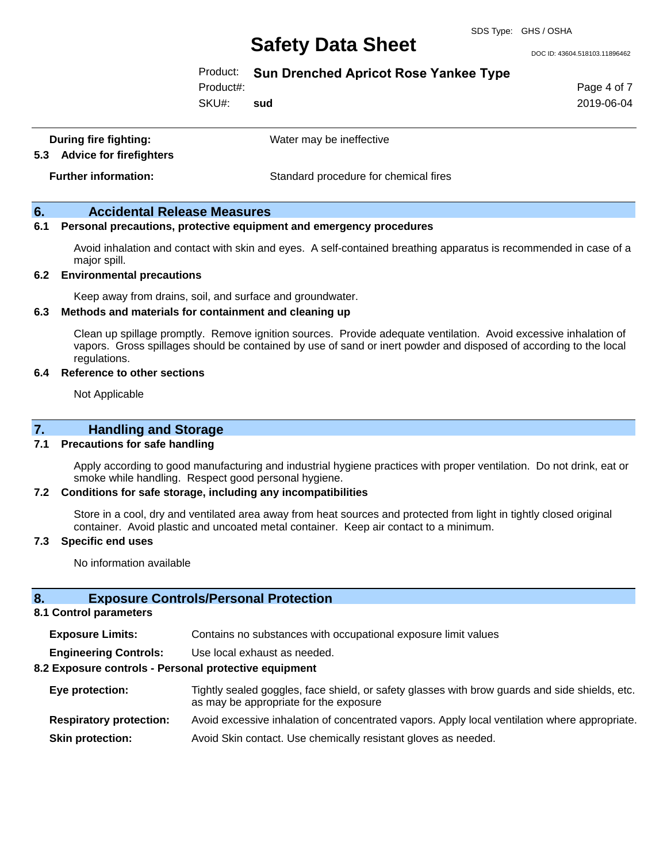DOC ID: 43604.518103.11896462

## Product: **Sun Drenched Apricot Rose Yankee Type**

Product#:

SKU#: **sud** Page 4 of 7 2019-06-04

| During fire fighting:       | Water may be ineffective              |
|-----------------------------|---------------------------------------|
| 5.3 Advice for firefighters |                                       |
| <b>Further information:</b> | Standard procedure for chemical fires |

## **6. Accidental Release Measures**

#### **6.1 Personal precautions, protective equipment and emergency procedures**

Avoid inhalation and contact with skin and eyes. A self-contained breathing apparatus is recommended in case of a major spill.

#### **6.2 Environmental precautions**

Keep away from drains, soil, and surface and groundwater.

#### **6.3 Methods and materials for containment and cleaning up**

Clean up spillage promptly. Remove ignition sources. Provide adequate ventilation. Avoid excessive inhalation of vapors. Gross spillages should be contained by use of sand or inert powder and disposed of according to the local regulations.

#### **6.4 Reference to other sections**

Not Applicable

## **7. Handling and Storage**

#### **7.1 Precautions for safe handling**

Apply according to good manufacturing and industrial hygiene practices with proper ventilation. Do not drink, eat or smoke while handling. Respect good personal hygiene.

#### **7.2 Conditions for safe storage, including any incompatibilities**

Store in a cool, dry and ventilated area away from heat sources and protected from light in tightly closed original container. Avoid plastic and uncoated metal container. Keep air contact to a minimum.

#### **7.3 Specific end uses**

No information available

## **8. Exposure Controls/Personal Protection**

#### **8.1 Control parameters**

**Exposure Limits:** Contains no substances with occupational exposure limit values

**Engineering Controls:** Use local exhaust as needed.

#### **8.2 Exposure controls - Personal protective equipment**

- **Eye protection:** Tightly sealed goggles, face shield, or safety glasses with brow guards and side shields, etc. as may be appropriate for the exposure
- **Respiratory protection:** Avoid excessive inhalation of concentrated vapors. Apply local ventilation where appropriate. **Skin protection:** Avoid Skin contact. Use chemically resistant gloves as needed.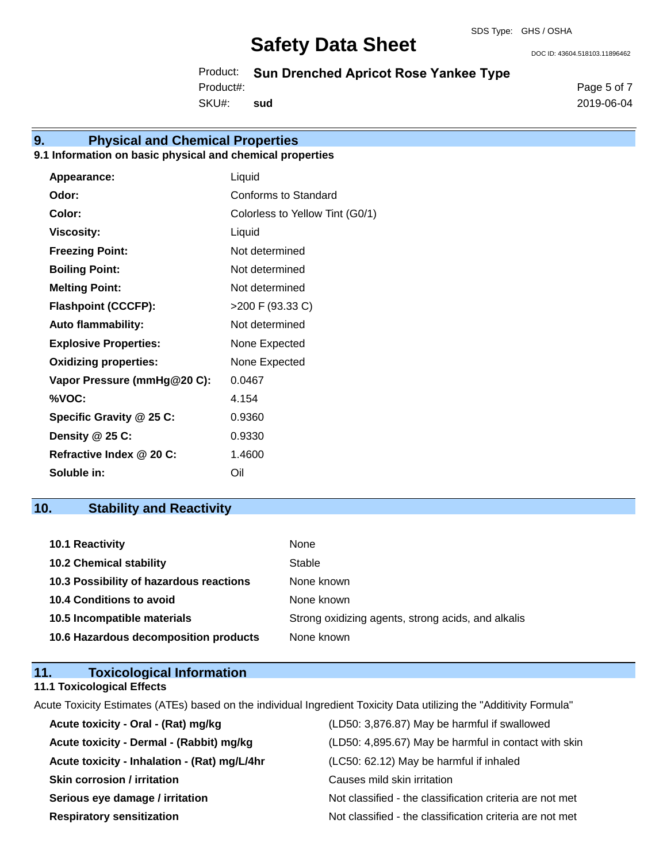DOC ID: 43604.518103.11896462

Product: **Sun Drenched Apricot Rose Yankee Type** 

SKU#: Product#: **sud** Page 5 of 7 2019-06-04

## **9. Physical and Chemical Properties**

## **9.1 Information on basic physical and chemical properties**

| Appearance:                  | Liquid                          |
|------------------------------|---------------------------------|
| Odor:                        | Conforms to Standard            |
| Color:                       | Colorless to Yellow Tint (G0/1) |
| <b>Viscosity:</b>            | Liquid                          |
| <b>Freezing Point:</b>       | Not determined                  |
| <b>Boiling Point:</b>        | Not determined                  |
| <b>Melting Point:</b>        | Not determined                  |
| <b>Flashpoint (CCCFP):</b>   | >200 F (93.33 C)                |
| <b>Auto flammability:</b>    | Not determined                  |
| <b>Explosive Properties:</b> | None Expected                   |
| <b>Oxidizing properties:</b> | None Expected                   |
| Vapor Pressure (mmHg@20 C):  | 0.0467                          |
| %VOC:                        | 4.154                           |
| Specific Gravity @ 25 C:     | 0.9360                          |
| Density @ 25 C:              | 0.9330                          |
| Refractive Index @ 20 C:     | 1.4600                          |
| Soluble in:                  | Oil                             |

# **10. Stability and Reactivity**

| 10.1 Reactivity                         | None                                               |
|-----------------------------------------|----------------------------------------------------|
| <b>10.2 Chemical stability</b>          | Stable                                             |
| 10.3 Possibility of hazardous reactions | None known                                         |
| <b>10.4 Conditions to avoid</b>         | None known                                         |
| 10.5 Incompatible materials             | Strong oxidizing agents, strong acids, and alkalis |
| 10.6 Hazardous decomposition products   | None known                                         |

| <b>Toxicological Information</b><br>11.                                                                             |                                                      |  |
|---------------------------------------------------------------------------------------------------------------------|------------------------------------------------------|--|
| <b>11.1 Toxicological Effects</b>                                                                                   |                                                      |  |
| Acute Toxicity Estimates (ATEs) based on the individual Ingredient Toxicity Data utilizing the "Additivity Formula" |                                                      |  |
| Acute toxicity - Oral - (Rat) mg/kg                                                                                 | (LD50: 3,876.87) May be harmful if swallowed         |  |
| Acute toxicity - Dermal - (Rabbit) mg/kg                                                                            | (LD50: 4,895.67) May be harmful in contact with skin |  |
| Acute toxicity - Inhalation - (Rat) mg/L/4hr                                                                        | (LC50: 62.12) May be harmful if inhaled              |  |

**Skin corrosion / irritation** Causes mild skin irritation

**Serious eye damage / irritation** Not classified - the classification criteria are not met **Respiratory sensitization** Not classified - the classification criteria are not met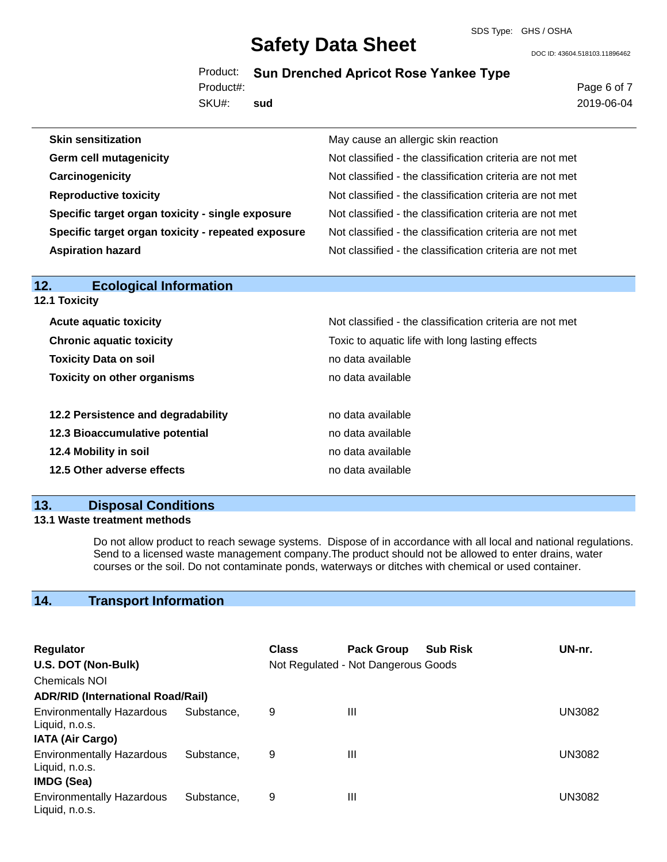#### SDS Type: GHS / OSHA

# **Safety Data Sheet**

DOC ID: 43604.518103.11896462

# Product: **Sun Drenched Apricot Rose Yankee Type**

Product#:

SKU#: **sud** Page 6 of 7 2019-06-04

| May cause an allergic skin reaction                      |
|----------------------------------------------------------|
| Not classified - the classification criteria are not met |
| Not classified - the classification criteria are not met |
| Not classified - the classification criteria are not met |
| Not classified - the classification criteria are not met |
| Not classified - the classification criteria are not met |
| Not classified - the classification criteria are not met |
|                                                          |

| 12.<br><b>Ecological Information</b> |                                                          |  |
|--------------------------------------|----------------------------------------------------------|--|
| 12.1 Toxicity                        |                                                          |  |
| <b>Acute aquatic toxicity</b>        | Not classified - the classification criteria are not met |  |
| <b>Chronic aquatic toxicity</b>      | Toxic to aquatic life with long lasting effects          |  |
| <b>Toxicity Data on soil</b>         | no data available                                        |  |
| <b>Toxicity on other organisms</b>   | no data available                                        |  |
| 12.2 Persistence and degradability   | no data available                                        |  |
| 12.3 Bioaccumulative potential       | no data available                                        |  |
| 12.4 Mobility in soil                | no data available                                        |  |
| 12.5 Other adverse effects           | no data available                                        |  |

## **13. Disposal Conditions**

#### **13.1 Waste treatment methods**

Do not allow product to reach sewage systems. Dispose of in accordance with all local and national regulations. Send to a licensed waste management company.The product should not be allowed to enter drains, water courses or the soil. Do not contaminate ponds, waterways or ditches with chemical or used container.

# **14. Transport Information**

| <b>Regulator</b>                                                        |            | <b>Class</b> | <b>Pack Group</b>                   | <b>Sub Risk</b> | UN-nr. |  |
|-------------------------------------------------------------------------|------------|--------------|-------------------------------------|-----------------|--------|--|
| U.S. DOT (Non-Bulk)                                                     |            |              | Not Regulated - Not Dangerous Goods |                 |        |  |
| <b>Chemicals NOI</b>                                                    |            |              |                                     |                 |        |  |
| <b>ADR/RID (International Road/Rail)</b>                                |            |              |                                     |                 |        |  |
| <b>Environmentally Hazardous</b><br>Liquid, n.o.s.                      | Substance. | 9            | Ш                                   |                 | UN3082 |  |
| <b>IATA (Air Cargo)</b>                                                 |            |              |                                     |                 |        |  |
| <b>Environmentally Hazardous</b><br>Liquid, n.o.s.<br><b>IMDG (Sea)</b> | Substance. | 9            | Ш                                   |                 | UN3082 |  |
| <b>Environmentally Hazardous</b><br>Liquid, n.o.s.                      | Substance, | 9            | Ш                                   |                 | UN3082 |  |